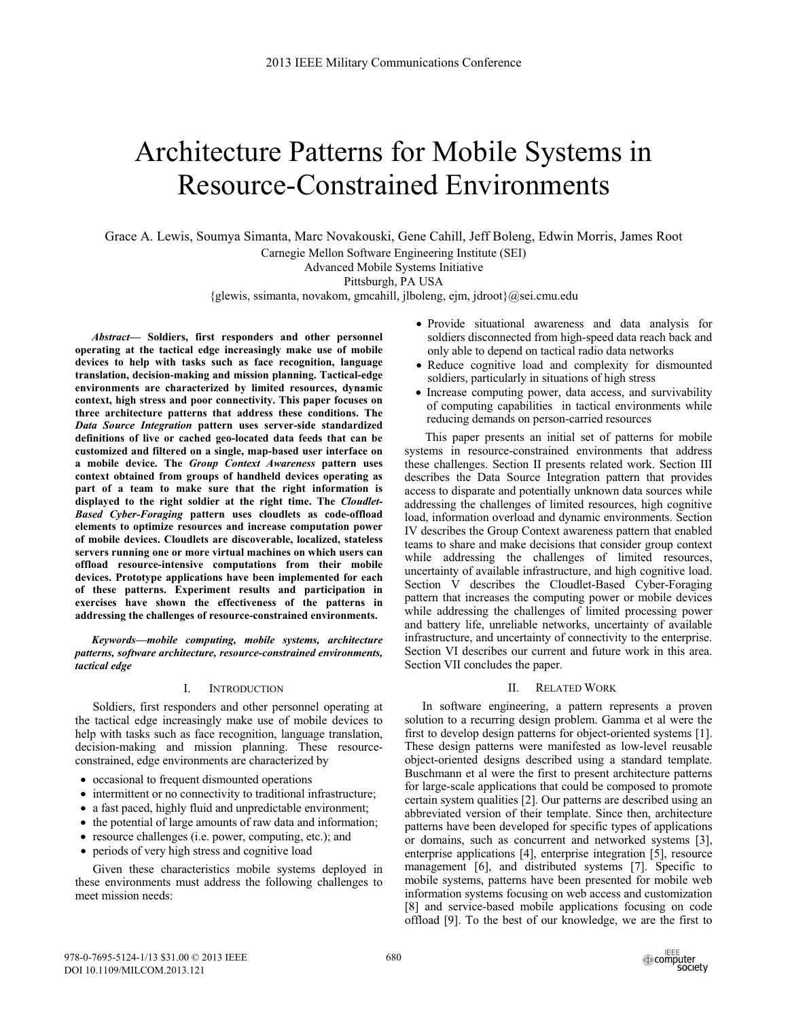# Architecture Patterns for Mobile Systems in Resource-Constrained Environments

Grace A. Lewis, Soumya Simanta, Marc Novakouski, Gene Cahill, Jeff Boleng, Edwin Morris, James Root Carnegie Mellon Software Engineering Institute (SEI)

Advanced Mobile Systems Initiative

Pittsburgh, PA USA

{glewis, ssimanta, novakom, gmcahill, jlboleng, ejm, jdroot}@sei.cmu.edu

*Abstract***— Soldiers, first responders and other personnel operating at the tactical edge increasingly make use of mobile devices to help with tasks such as face recognition, language translation, decision-making and mission planning. Tactical-edge environments are characterized by limited resources, dynamic context, high stress and poor connectivity. This paper focuses on three architecture patterns that address these conditions. The**  *Data Source Integration* **pattern uses server-side standardized definitions of live or cached geo-located data feeds that can be customized and filtered on a single, map-based user interface on a mobile device. The** *Group Context Awareness* **pattern uses context obtained from groups of handheld devices operating as part of a team to make sure that the right information is displayed to the right soldier at the right time. The** *Cloudlet-Based Cyber-Foraging* **pattern uses cloudlets as code-offload elements to optimize resources and increase computation power of mobile devices. Cloudlets are discoverable, localized, stateless servers running one or more virtual machines on which users can offload resource-intensive computations from their mobile devices. Prototype applications have been implemented for each of these patterns. Experiment results and participation in exercises have shown the effectiveness of the patterns in addressing the challenges of resource-constrained environments.**

*Keywords—mobile computing, mobile systems, architecture patterns, software architecture, resource-constrained environments, tactical edge* 

#### I. INTRODUCTION

Soldiers, first responders and other personnel operating at the tactical edge increasingly make use of mobile devices to help with tasks such as face recognition, language translation, decision-making and mission planning. These resourceconstrained, edge environments are characterized by

- occasional to frequent dismounted operations
- intermittent or no connectivity to traditional infrastructure;
- a fast paced, highly fluid and unpredictable environment;
- the potential of large amounts of raw data and information;
- resource challenges (i.e. power, computing, etc.); and
- periods of very high stress and cognitive load

Given these characteristics mobile systems deployed in these environments must address the following challenges to meet mission needs:

- Provide situational awareness and data analysis for soldiers disconnected from high-speed data reach back and only able to depend on tactical radio data networks
- Reduce cognitive load and complexity for dismounted soldiers, particularly in situations of high stress
- Increase computing power, data access, and survivability of computing capabilities in tactical environments while reducing demands on person-carried resources

 This paper presents an initial set of patterns for mobile systems in resource-constrained environments that address these challenges. Section II presents related work. Section III describes the Data Source Integration pattern that provides access to disparate and potentially unknown data sources while addressing the challenges of limited resources, high cognitive load, information overload and dynamic environments. Section IV describes the Group Context awareness pattern that enabled teams to share and make decisions that consider group context while addressing the challenges of limited resources, uncertainty of available infrastructure, and high cognitive load. Section V describes the Cloudlet-Based Cyber-Foraging pattern that increases the computing power or mobile devices while addressing the challenges of limited processing power and battery life, unreliable networks, uncertainty of available infrastructure, and uncertainty of connectivity to the enterprise. Section VI describes our current and future work in this area. Section VII concludes the paper.

# II. RELATED WORK

In software engineering, a pattern represents a proven solution to a recurring design problem. Gamma et al were the first to develop design patterns for object-oriented systems [1]. These design patterns were manifested as low-level reusable object-oriented designs described using a standard template. Buschmann et al were the first to present architecture patterns for large-scale applications that could be composed to promote certain system qualities [2]. Our patterns are described using an abbreviated version of their template. Since then, architecture patterns have been developed for specific types of applications or domains, such as concurrent and networked systems [3], enterprise applications [4], enterprise integration [5], resource management [6], and distributed systems [7]. Specific to mobile systems, patterns have been presented for mobile web information systems focusing on web access and customization [8] and service-based mobile applications focusing on code offload [9]. To the best of our knowledge, we are the first to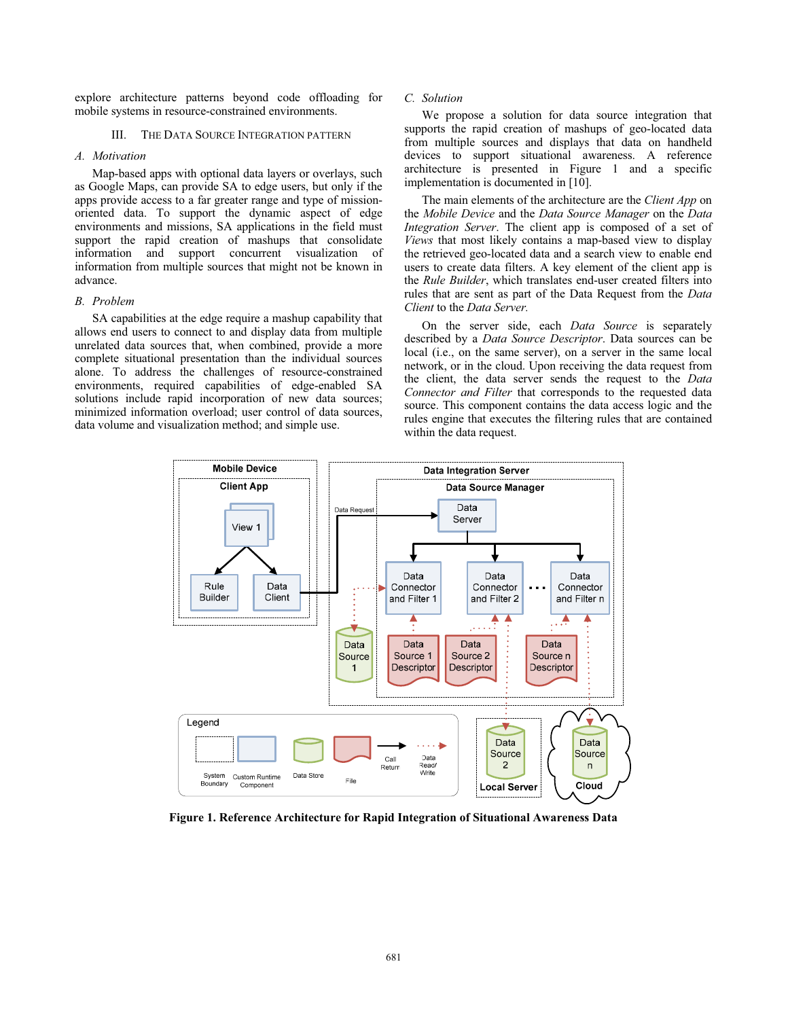explore architecture patterns beyond code offloading for mobile systems in resource-constrained environments.

## III. THE DATA SOURCE INTEGRATION PATTERN

# *A. Motivation*

Map-based apps with optional data layers or overlays, such as Google Maps, can provide SA to edge users, but only if the apps provide access to a far greater range and type of missionoriented data. To support the dynamic aspect of edge environments and missions, SA applications in the field must support the rapid creation of mashups that consolidate information and support concurrent visualization of information from multiple sources that might not be known in advance.

## *B. Problem*

SA capabilities at the edge require a mashup capability that allows end users to connect to and display data from multiple unrelated data sources that, when combined, provide a more complete situational presentation than the individual sources alone. To address the challenges of resource-constrained environments, required capabilities of edge-enabled SA solutions include rapid incorporation of new data sources; minimized information overload; user control of data sources, data volume and visualization method; and simple use.

# *C. Solution*

We propose a solution for data source integration that supports the rapid creation of mashups of geo-located data from multiple sources and displays that data on handheld devices to support situational awareness. A reference architecture is presented in Figure 1 and a specific implementation is documented in [10].

The main elements of the architecture are the *Client App* on the *Mobile Device* and the *Data Source Manager* on the *Data Integration Server*. The client app is composed of a set of *Views* that most likely contains a map-based view to display the retrieved geo-located data and a search view to enable end users to create data filters. A key element of the client app is the *Rule Builder*, which translates end-user created filters into rules that are sent as part of the Data Request from the *Data Client* to the *Data Server.* 

On the server side, each *Data Source* is separately described by a *Data Source Descriptor*. Data sources can be local (i.e., on the same server), on a server in the same local network, or in the cloud. Upon receiving the data request from the client, the data server sends the request to the *Data Connector and Filter* that corresponds to the requested data source. This component contains the data access logic and the rules engine that executes the filtering rules that are contained within the data request.



**Figure 1. Reference Architecture for Rapid Integration of Situational Awareness Data**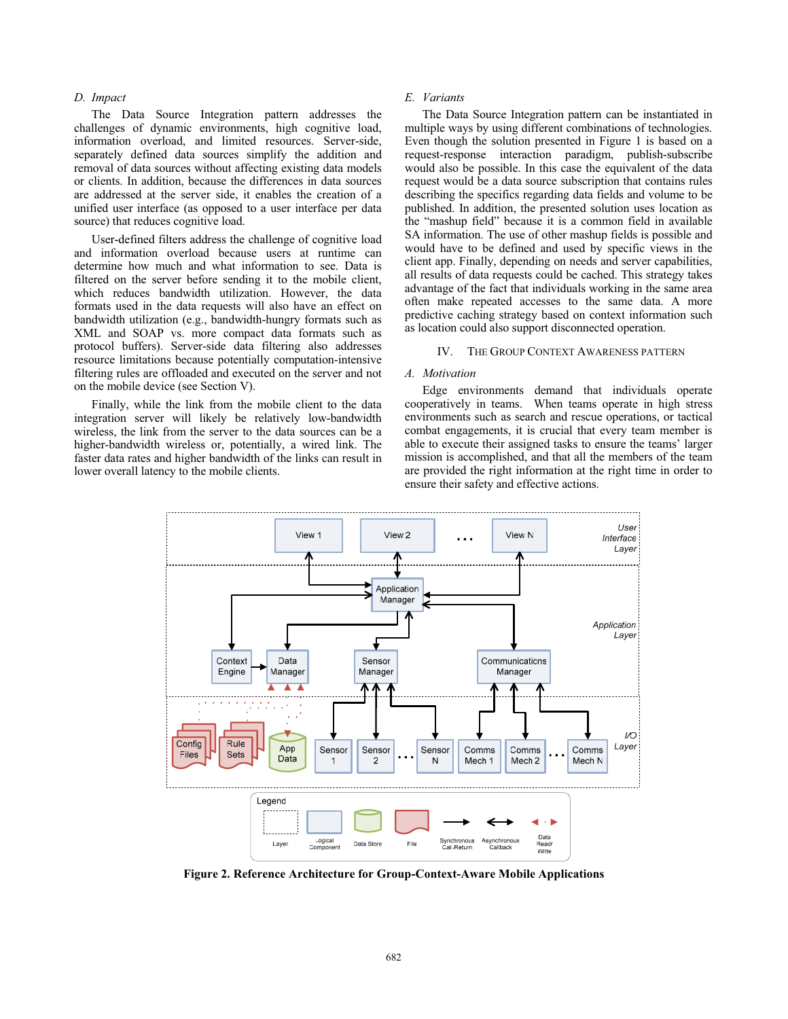# *D. Impact*

The Data Source Integration pattern addresses the challenges of dynamic environments, high cognitive load, information overload, and limited resources. Server-side, separately defined data sources simplify the addition and removal of data sources without affecting existing data models or clients. In addition, because the differences in data sources are addressed at the server side, it enables the creation of a unified user interface (as opposed to a user interface per data source) that reduces cognitive load.

User-defined filters address the challenge of cognitive load and information overload because users at runtime can determine how much and what information to see. Data is filtered on the server before sending it to the mobile client, which reduces bandwidth utilization. However, the data formats used in the data requests will also have an effect on bandwidth utilization (e.g., bandwidth-hungry formats such as XML and SOAP vs. more compact data formats such as protocol buffers). Server-side data filtering also addresses resource limitations because potentially computation-intensive filtering rules are offloaded and executed on the server and not on the mobile device (see Section V).

Finally, while the link from the mobile client to the data integration server will likely be relatively low-bandwidth wireless, the link from the server to the data sources can be a higher-bandwidth wireless or, potentially, a wired link. The faster data rates and higher bandwidth of the links can result in lower overall latency to the mobile clients.

# *E. Variants*

The Data Source Integration pattern can be instantiated in multiple ways by using different combinations of technologies. Even though the solution presented in Figure 1 is based on a request-response interaction paradigm, publish-subscribe would also be possible. In this case the equivalent of the data request would be a data source subscription that contains rules describing the specifics regarding data fields and volume to be published. In addition, the presented solution uses location as the "mashup field" because it is a common field in available SA information. The use of other mashup fields is possible and would have to be defined and used by specific views in the client app. Finally, depending on needs and server capabilities, all results of data requests could be cached. This strategy takes advantage of the fact that individuals working in the same area often make repeated accesses to the same data. A more predictive caching strategy based on context information such as location could also support disconnected operation.

# IV. THE GROUP CONTEXT AWARENESS PATTERN

## *A. Motivation*

Edge environments demand that individuals operate cooperatively in teams. When teams operate in high stress environments such as search and rescue operations, or tactical combat engagements, it is crucial that every team member is able to execute their assigned tasks to ensure the teams' larger mission is accomplished, and that all the members of the team are provided the right information at the right time in order to ensure their safety and effective actions.



**Figure 2. Reference Architecture for Group-Context-Aware Mobile Applications**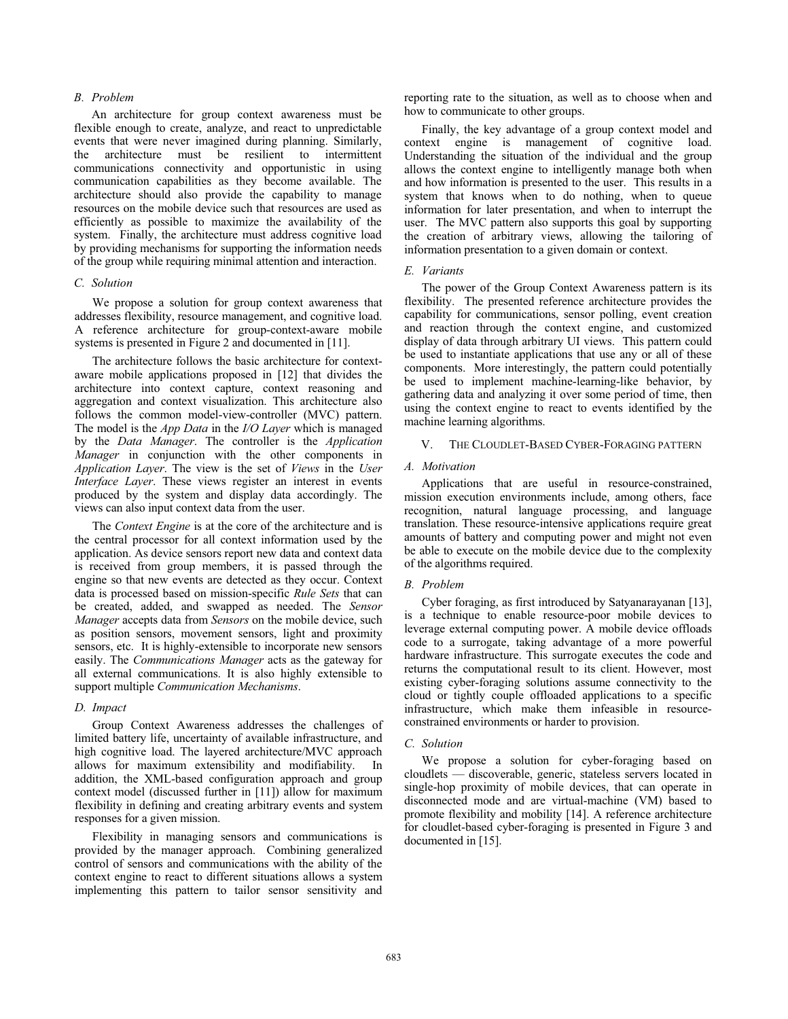# *B. Problem*

An architecture for group context awareness must be flexible enough to create, analyze, and react to unpredictable events that were never imagined during planning. Similarly, the architecture must be resilient to intermittent communications connectivity and opportunistic in using communication capabilities as they become available. The architecture should also provide the capability to manage resources on the mobile device such that resources are used as efficiently as possible to maximize the availability of the system. Finally, the architecture must address cognitive load by providing mechanisms for supporting the information needs of the group while requiring minimal attention and interaction.

# *C. Solution*

We propose a solution for group context awareness that addresses flexibility, resource management, and cognitive load. A reference architecture for group-context-aware mobile systems is presented in Figure 2 and documented in [11].

The architecture follows the basic architecture for contextaware mobile applications proposed in [12] that divides the architecture into context capture, context reasoning and aggregation and context visualization. This architecture also follows the common model-view-controller (MVC) pattern. The model is the *App Data* in the *I/O Layer* which is managed by the *Data Manager*. The controller is the *Application Manager* in conjunction with the other components in *Application Layer*. The view is the set of *Views* in the *User Interface Layer*. These views register an interest in events produced by the system and display data accordingly. The views can also input context data from the user.

The *Context Engine* is at the core of the architecture and is the central processor for all context information used by the application. As device sensors report new data and context data is received from group members, it is passed through the engine so that new events are detected as they occur. Context data is processed based on mission-specific *Rule Sets* that can be created, added, and swapped as needed. The *Sensor Manager* accepts data from *Sensors* on the mobile device, such as position sensors, movement sensors, light and proximity sensors, etc. It is highly-extensible to incorporate new sensors easily. The *Communications Manager* acts as the gateway for all external communications. It is also highly extensible to support multiple *Communication Mechanisms*.

#### *D. Impact*

Group Context Awareness addresses the challenges of limited battery life, uncertainty of available infrastructure, and high cognitive load. The layered architecture/MVC approach allows for maximum extensibility and modifiability. In addition, the XML-based configuration approach and group context model (discussed further in [11]) allow for maximum flexibility in defining and creating arbitrary events and system responses for a given mission.

Flexibility in managing sensors and communications is provided by the manager approach. Combining generalized control of sensors and communications with the ability of the context engine to react to different situations allows a system implementing this pattern to tailor sensor sensitivity and

reporting rate to the situation, as well as to choose when and how to communicate to other groups.

Finally, the key advantage of a group context model and context engine is management of cognitive load. Understanding the situation of the individual and the group allows the context engine to intelligently manage both when and how information is presented to the user. This results in a system that knows when to do nothing, when to queue information for later presentation, and when to interrupt the user. The MVC pattern also supports this goal by supporting the creation of arbitrary views, allowing the tailoring of information presentation to a given domain or context.

#### *E. Variants*

The power of the Group Context Awareness pattern is its flexibility. The presented reference architecture provides the capability for communications, sensor polling, event creation and reaction through the context engine, and customized display of data through arbitrary UI views. This pattern could be used to instantiate applications that use any or all of these components. More interestingly, the pattern could potentially be used to implement machine-learning-like behavior, by gathering data and analyzing it over some period of time, then using the context engine to react to events identified by the machine learning algorithms.

## V. THE CLOUDLET-BASED CYBER-FORAGING PATTERN

# *A. Motivation*

Applications that are useful in resource-constrained, mission execution environments include, among others, face recognition, natural language processing, and language translation. These resource-intensive applications require great amounts of battery and computing power and might not even be able to execute on the mobile device due to the complexity of the algorithms required.

#### *B. Problem*

Cyber foraging, as first introduced by Satyanarayanan [13], is a technique to enable resource-poor mobile devices to leverage external computing power. A mobile device offloads code to a surrogate, taking advantage of a more powerful hardware infrastructure. This surrogate executes the code and returns the computational result to its client. However, most existing cyber-foraging solutions assume connectivity to the cloud or tightly couple offloaded applications to a specific infrastructure, which make them infeasible in resourceconstrained environments or harder to provision.

#### *C. Solution*

We propose a solution for cyber-foraging based on cloudlets — discoverable, generic, stateless servers located in single-hop proximity of mobile devices, that can operate in disconnected mode and are virtual-machine (VM) based to promote flexibility and mobility [14]. A reference architecture for cloudlet-based cyber-foraging is presented in Figure 3 and documented in [15].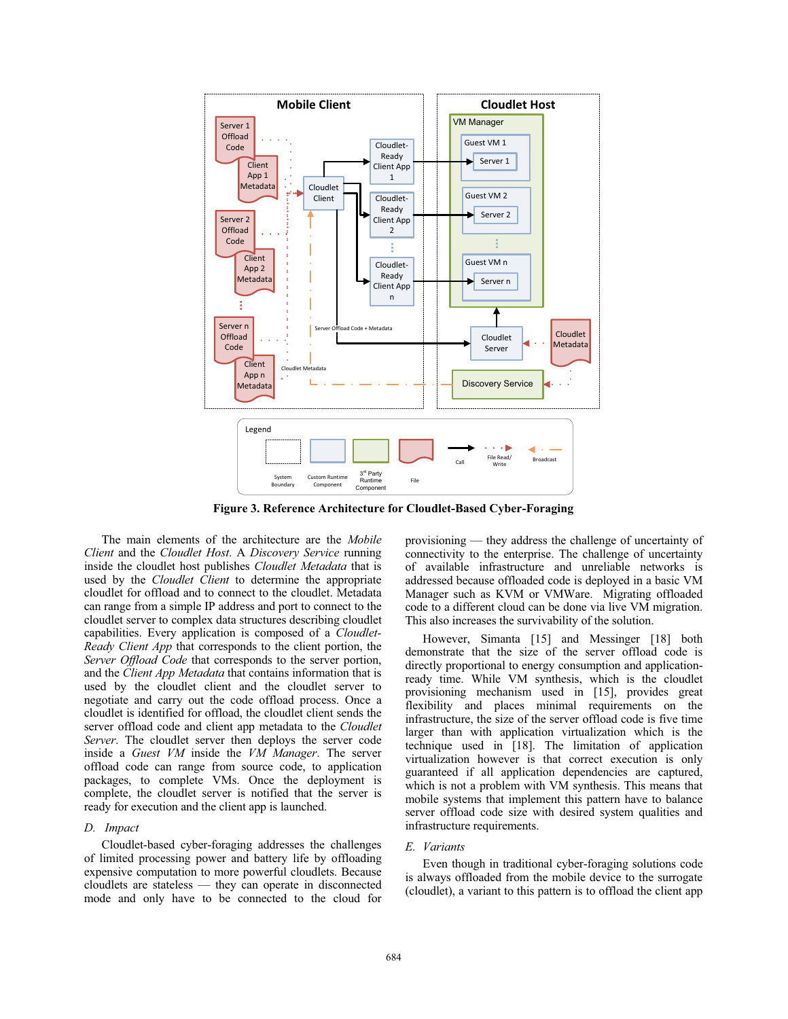

**Figure 3. Reference Architecture for Cloudlet-Based Cyber-Foraging** 

The main elements of the architecture are the *Mobile Client* and the *Cloudlet Host*. A *Discovery Service* running inside the cloudlet host publishes *Cloudlet Metadata* that is used by the *Cloudlet Client* to determine the appropriate cloudlet for offload and to connect to the cloudlet. Metadata can range from a simple IP address and port to connect to the cloudlet server to complex data structures describing cloudlet capabilities. Every application is composed of a *Cloudlet-Ready Client App* that corresponds to the client portion, the *Server Offload Code* that corresponds to the server portion, and the *Client App Metadata* that contains information that is used by the cloudlet client and the cloudlet server to negotiate and carry out the code offload process. Once a cloudlet is identified for offload, the cloudlet client sends the server offload code and client app metadata to the *Cloudlet Server*. The cloudlet server then deploys the server code inside a *Guest VM* inside the *VM Manager*. The server offload code can range from source code, to application packages, to complete VMs. Once the deployment is complete, the cloudlet server is notified that the server is ready for execution and the client app is launched.

### *D. Impact*

Cloudlet-based cyber-foraging addresses the challenges of limited processing power and battery life by offloading expensive computation to more powerful cloudlets. Because cloudlets are stateless — they can operate in disconnected mode and only have to be connected to the cloud for provisioning — they address the challenge of uncertainty of connectivity to the enterprise. The challenge of uncertainty of available infrastructure and unreliable networks is addressed because offloaded code is deployed in a basic VM Manager such as KVM or VMWare. Migrating offloaded code to a different cloud can be done via live VM migration. This also increases the survivability of the solution.

However, Simanta [15] and Messinger [18] both demonstrate that the size of the server offload code is directly proportional to energy consumption and applicationready time. While VM synthesis, which is the cloudlet provisioning mechanism used in [15], provides great flexibility and places minimal requirements on the infrastructure, the size of the server offload code is five time larger than with application virtualization which is the technique used in [18]. The limitation of application virtualization however is that correct execution is only guaranteed if all application dependencies are captured, which is not a problem with VM synthesis. This means that mobile systems that implement this pattern have to balance server offload code size with desired system qualities and infrastructure requirements.

# *E. Variants*

Even though in traditional cyber-foraging solutions code is always offloaded from the mobile device to the surrogate (cloudlet), a variant to this pattern is to offload the client app